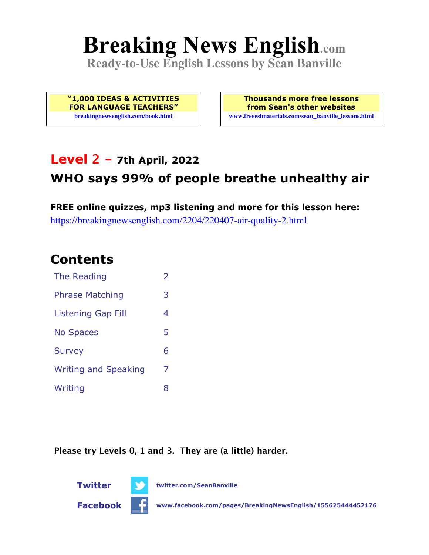# **Breaking News English.com**

**Ready-to-Use English Lessons by Sean Banville**

**"1,000 IDEAS & ACTIVITIES FOR LANGUAGE TEACHERS" breakingnewsenglish.com/book.html**

**Thousands more free lessons from Sean's other websites www.freeeslmaterials.com/sean\_banville\_lessons.html**

### **Level 2 - 7th April, 2022**

# **WHO says 99% of people breathe unhealthy air**

**FREE online quizzes, mp3 listening and more for this lesson here:** https://breakingnewsenglish.com/2204/220407-air-quality-2.html

### **Contents**

| The Reading                 | $\overline{\phantom{a}}$ |
|-----------------------------|--------------------------|
| <b>Phrase Matching</b>      | 3                        |
| Listening Gap Fill          | 4                        |
| <b>No Spaces</b>            | 5                        |
| <b>Survey</b>               | 6                        |
| <b>Writing and Speaking</b> | 7                        |
| Writing                     | 8                        |

**Please try Levels 0, 1 and 3. They are (a little) harder.**





**Facebook www.facebook.com/pages/BreakingNewsEnglish/155625444452176**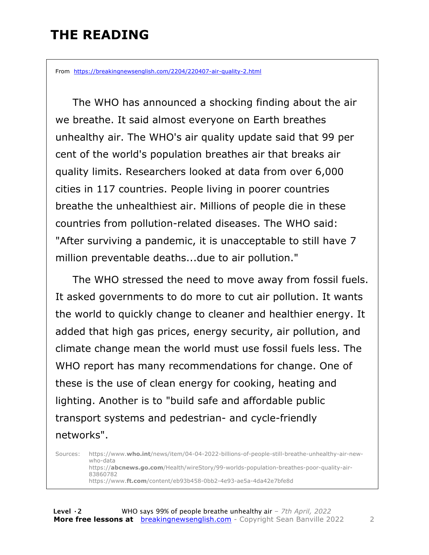# **THE READING**

From https://breakingnewsenglish.com/2204/220407-air-quality-2.html

 The WHO has announced a shocking finding about the air we breathe. It said almost everyone on Earth breathes unhealthy air. The WHO's air quality update said that 99 per cent of the world's population breathes air that breaks air quality limits. Researchers looked at data from over 6,000 cities in 117 countries. People living in poorer countries breathe the unhealthiest air. Millions of people die in these countries from pollution-related diseases. The WHO said: "After surviving a pandemic, it is unacceptable to still have 7 million preventable deaths...due to air pollution."

 The WHO stressed the need to move away from fossil fuels. It asked governments to do more to cut air pollution. It wants the world to quickly change to cleaner and healthier energy. It added that high gas prices, energy security, air pollution, and climate change mean the world must use fossil fuels less. The WHO report has many recommendations for change. One of these is the use of clean energy for cooking, heating and lighting. Another is to "build safe and affordable public transport systems and pedestrian- and cycle-friendly networks".

Sources: https://www.**who.int**/news/item/04-04-2022-billions-of-people-still-breathe-unhealthy-air-newwho-data https://**abcnews.go.com**/Health/wireStory/99-worlds-population-breathes-poor-quality-air-83860782 https://www.**ft.com**/content/eb93b458-0bb2-4e93-ae5a-4da42e7bfe8d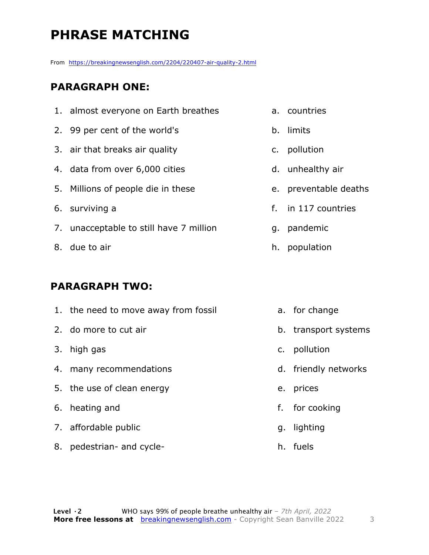# **PHRASE MATCHING**

From https://breakingnewsenglish.com/2204/220407-air-quality-2.html

#### **PARAGRAPH ONE:**

- 1. almost everyone on Earth breathes
- 2. 99 per cent of the world's
- 3. air that breaks air quality
- 4. data from over 6,000 cities
- 5. Millions of people die in these
- 6. surviving a
- 7. unacceptable to still have 7 million
- 8. due to air

#### **PARAGRAPH TWO:**

- a. countries
- b. limits
- c. pollution
- d. unhealthy air
- e. preventable deaths
- f. in 117 countries
- g. pandemic
- h. population
- 1. the need to move away from fossil 2. do more to cut air 3. high gas 4. many recommendations 5. the use of clean energy 6. heating and 7. affordable public 8. pedestrian- and cyclea. for change b. transport systems c. pollution d. friendly networks e. prices f. for cooking g. lighting h. fuels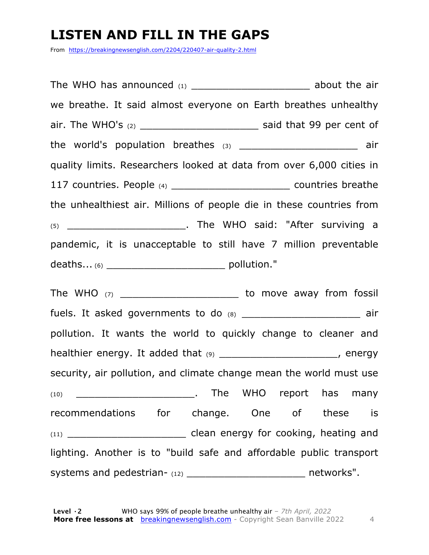# **LISTEN AND FILL IN THE GAPS**

From https://breakingnewsenglish.com/2204/220407-air-quality-2.html

The WHO has announced  $(1)$  about the air we breathe. It said almost everyone on Earth breathes unhealthy air. The WHO's (2) \_\_\_\_\_\_\_\_\_\_\_\_\_\_\_\_\_\_\_\_\_\_\_\_\_\_\_\_\_\_\_\_\_\_ said that 99 per cent of the world's population breathes (3) \_\_\_\_\_\_\_\_\_\_\_\_\_\_\_\_\_\_\_\_\_\_\_ air quality limits. Researchers looked at data from over 6,000 cities in 117 countries. People (4) \_\_\_\_\_\_\_\_\_\_\_\_\_\_\_\_\_\_\_\_\_\_\_\_\_\_\_ countries breathe the unhealthiest air. Millions of people die in these countries from (5) \_\_\_\_\_\_\_\_\_\_\_\_\_\_\_\_\_\_\_. The WHO said: "After surviving a pandemic, it is unacceptable to still have 7 million preventable deaths... (6) \_\_\_\_\_\_\_\_\_\_\_\_\_\_\_\_\_\_\_ pollution."

The WHO (7) \_\_\_\_\_\_\_\_\_\_\_\_\_\_\_\_\_\_\_ to move away from fossil fuels. It asked governments to do (8) \_\_\_\_\_\_\_\_\_\_\_\_\_\_\_\_\_\_\_\_\_\_\_ air pollution. It wants the world to quickly change to cleaner and healthier energy. It added that (9) \_\_\_\_\_\_\_\_\_\_\_\_\_\_\_\_\_\_\_\_\_\_\_\_, energy security, air pollution, and climate change mean the world must use (10) \_\_\_\_\_\_\_\_\_\_\_\_\_\_\_\_\_\_\_. The WHO report has many recommendations for change. One of these is (11) \_\_\_\_\_\_\_\_\_\_\_\_\_\_\_\_\_\_\_\_\_\_\_\_\_ clean energy for cooking, heating and lighting. Another is to "build safe and affordable public transport systems and pedestrian- (12) \_\_\_\_\_\_\_\_\_\_\_\_\_\_\_\_\_\_\_\_\_\_\_\_\_\_\_ networks".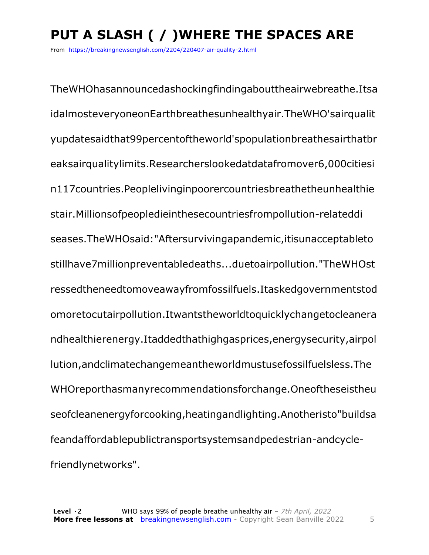# **PUT A SLASH ( / )WHERE THE SPACES ARE**

From https://breakingnewsenglish.com/2204/220407-air-quality-2.html

TheWHOhasannouncedashockingfindingabouttheairwebreathe.Itsa idalmosteveryoneonEarthbreathesunhealthyair.TheWHO'sairqualit yupdatesaidthat99percentoftheworld'spopulationbreathesairthatbr eaksairqualitylimits.Researcherslookedatdatafromover6,000citiesi n117countries.Peoplelivinginpoorercountriesbreathetheunhealthie stair.Millionsofpeopledieinthesecountriesfrompollution-relateddi seases.TheWHOsaid:"Aftersurvivingapandemic,itisunacceptableto stillhave7millionpreventabledeaths...duetoairpollution."TheWHOst ressedtheneedtomoveawayfromfossilfuels.Itaskedgovernmentstod omoretocutairpollution.Itwantstheworldtoquicklychangetocleanera ndhealthierenergy.Itaddedthathighgasprices,energysecurity,airpol lution,andclimatechangemeantheworldmustusefossilfuelsless.The WHOreporthasmanyrecommendationsforchange.Oneoftheseistheu seofcleanenergyforcooking,heatingandlighting.Anotheristo"buildsa feandaffordablepublictransportsystemsandpedestrian-andcyclefriendlynetworks".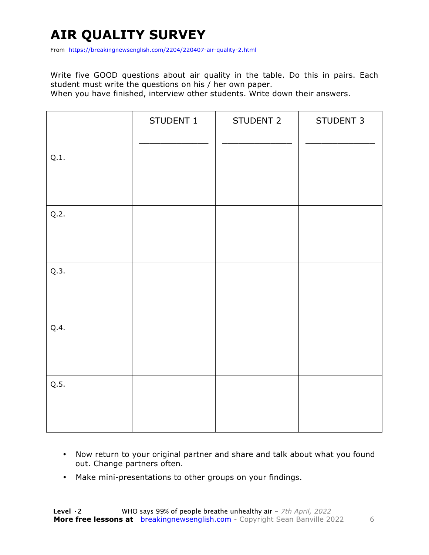# **AIR QUALITY SURVEY**

From https://breakingnewsenglish.com/2204/220407-air-quality-2.html

Write five GOOD questions about air quality in the table. Do this in pairs. Each student must write the questions on his / her own paper.

When you have finished, interview other students. Write down their answers.

|      | STUDENT 1 | STUDENT 2 | STUDENT 3 |
|------|-----------|-----------|-----------|
| Q.1. |           |           |           |
| Q.2. |           |           |           |
| Q.3. |           |           |           |
| Q.4. |           |           |           |
| Q.5. |           |           |           |

- Now return to your original partner and share and talk about what you found out. Change partners often.
- Make mini-presentations to other groups on your findings.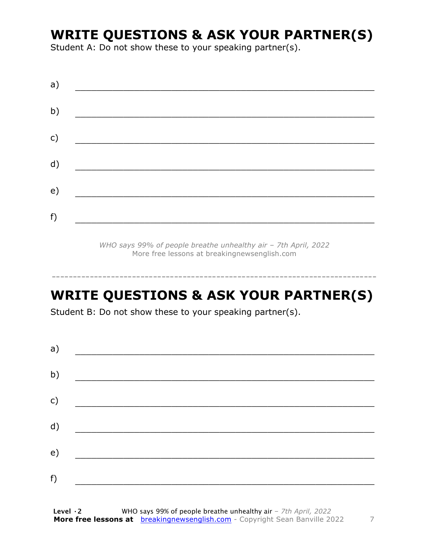# **WRITE QUESTIONS & ASK YOUR PARTNER(S)**

Student A: Do not show these to your speaking partner(s).

| a) |  |  |
|----|--|--|
| b) |  |  |
| c) |  |  |
| d) |  |  |
| e) |  |  |
| f) |  |  |

*WHO says 99% of people breathe unhealthy air – 7th April, 2022* More free lessons at breakingnewsenglish.com

# **WRITE QUESTIONS & ASK YOUR PARTNER(S)**

-----------------------------------------------------------------------------

Student B: Do not show these to your speaking partner(s).

| a) |  |  |
|----|--|--|
| b) |  |  |
| c) |  |  |
| d) |  |  |
| e) |  |  |
| f) |  |  |
|    |  |  |